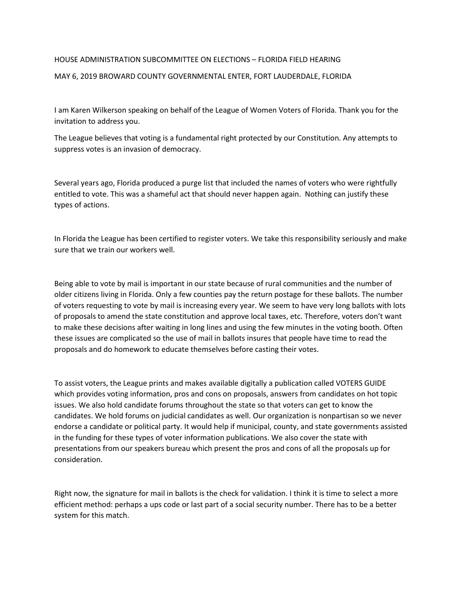## HOUSE ADMINISTRATION SUBCOMMITTEE ON ELECTIONS – FLORIDA FIELD HEARING MAY 6, 2019 BROWARD COUNTY GOVERNMENTAL ENTER, FORT LAUDERDALE, FLORIDA

I am Karen Wilkerson speaking on behalf of the League of Women Voters of Florida. Thank you for the invitation to address you.

The League believes that voting is a fundamental right protected by our Constitution. Any attempts to suppress votes is an invasion of democracy.

Several years ago, Florida produced a purge list that included the names of voters who were rightfully entitled to vote. This was a shameful act that should never happen again. Nothing can justify these types of actions.

In Florida the League has been certified to register voters. We take this responsibility seriously and make sure that we train our workers well.

Being able to vote by mail is important in our state because of rural communities and the number of older citizens living in Florida. Only a few counties pay the return postage for these ballots. The number of voters requesting to vote by mail is increasing every year. We seem to have very long ballots with lots of proposals to amend the state constitution and approve local taxes, etc. Therefore, voters don't want to make these decisions after waiting in long lines and using the few minutes in the voting booth. Often these issues are complicated so the use of mail in ballots insures that people have time to read the proposals and do homework to educate themselves before casting their votes.

To assist voters, the League prints and makes available digitally a publication called VOTERS GUIDE which provides voting information, pros and cons on proposals, answers from candidates on hot topic issues. We also hold candidate forums throughout the state so that voters can get to know the candidates. We hold forums on judicial candidates as well. Our organization is nonpartisan so we never endorse a candidate or political party. It would help if municipal, county, and state governments assisted in the funding for these types of voter information publications. We also cover the state with presentations from our speakers bureau which present the pros and cons of all the proposals up for consideration.

Right now, the signature for mail in ballots is the check for validation. I think it is time to select a more efficient method: perhaps a ups code or last part of a social security number. There has to be a better system for this match.